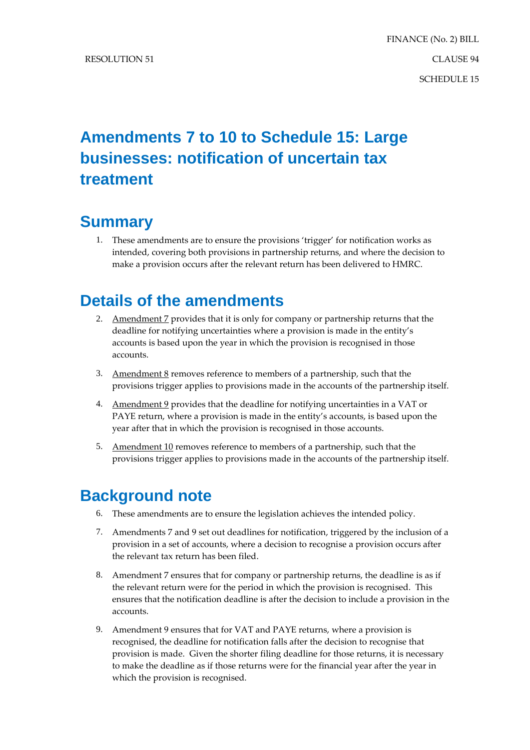# **Amendments 7 to 10 to Schedule 15: Large businesses: notification of uncertain tax treatment**

## **Summary**

1. These amendments are to ensure the provisions 'trigger' for notification works as intended, covering both provisions in partnership returns, and where the decision to make a provision occurs after the relevant return has been delivered to HMRC.

### **Details of the amendments**

- 2. Amendment 7 provides that it is only for company or partnership returns that the deadline for notifying uncertainties where a provision is made in the entity's accounts is based upon the year in which the provision is recognised in those accounts.
- 3. Amendment  $8$  removes reference to members of a partnership, such that the provisions trigger applies to provisions made in the accounts of the partnership itself.
- 4. Amendment 9 provides that the deadline for notifying uncertainties in a VAT or PAYE return, where a provision is made in the entity's accounts, is based upon the year after that in which the provision is recognised in those accounts.
- 5. Amendment 10 removes reference to members of a partnership, such that the provisions trigger applies to provisions made in the accounts of the partnership itself.

### **Background note**

- 6. These amendments are to ensure the legislation achieves the intended policy.
- 7. Amendments 7 and 9 set out deadlines for notification, triggered by the inclusion of a provision in a set of accounts, where a decision to recognise a provision occurs after the relevant tax return has been filed.
- 8. Amendment 7 ensures that for company or partnership returns, the deadline is as if the relevant return were for the period in which the provision is recognised. This ensures that the notification deadline is after the decision to include a provision in the accounts.
- 9. Amendment 9 ensures that for VAT and PAYE returns, where a provision is recognised, the deadline for notification falls after the decision to recognise that provision is made. Given the shorter filing deadline for those returns, it is necessary to make the deadline as if those returns were for the financial year after the year in which the provision is recognised.